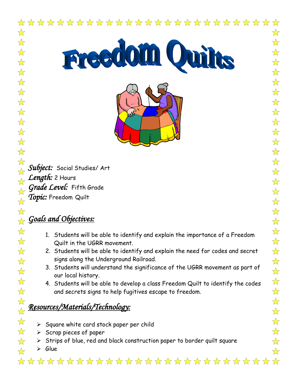

**Freedom Omirs** 



*Subject:* Social Studies/ Art *Length:* 2 Hours *Grade Level:* Fifth Grade *Topic:* Freedom Quilt

# *Goals and Objectives:*

- 1. Students will be able to identify and explain the importance of a Freedom Quilt in the UGRR movement.
- 2. Students will be able to identify and explain the need for codes and secret signs along the Underground Railroad.
- 3. Students will understand the significance of the UGRR movement as part of our local history.
- 4. Students will be able to develop a class Freedom Quilt to identify the codes and secrets signs to help fugitives escape to freedom.

# *Resources/Materials/Technology:*

- $\triangleright$  Square white card stock paper per child
- $\triangleright$  Scrap pieces of paper
- $\triangleright$  Strips of blue, red and black construction paper to border quilt square
- $\triangleright$  Glue  $\frac{1}{2}$

\*\*\*\*\*\*\*\*\*\*\*\*\*\*\*\*\*\*\*\*\*\*\*\*\*\*\*\*\*\*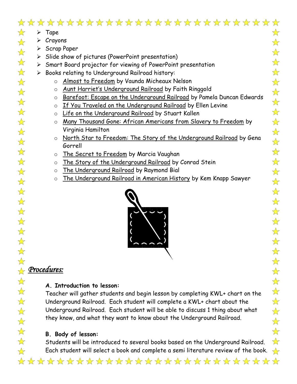## \*\*\*\*\*\*\*\*\*\*\*\*\*\*\*\*\*\*\*\*\*\*\*\*\*\*\*

 $\frac{1}{\sqrt{2}}$  $\triangleright$  Tape

 $\frac{1}{\sqrt{2}}$ 

 $\frac{1}{\sqrt{2}}$ 

 $\frac{1}{\sqrt{2}}$ 

 $\frac{1}{\sqrt{2}}$ 

 $\frac{1}{\sqrt{2}}$ 

 $\frac{1}{\sqrt{2}}$ 

 $\frac{1}{\sqrt{2}}$ 

 $\frac{1}{\sqrt{2}}$ 

 $\frac{1}{2}$ 

 $\frac{1}{\sqrt{2}}$ 

 $\frac{1}{\sqrt{2}}$ 

 $\frac{1}{\sqrt{2}}$ 

 $\frac{1}{\sqrt{2}}$ 

 $\frac{1}{\sqrt{2}}$ 

 $\frac{1}{\sqrt{2}}$ 

 $\frac{1}{\sqrt{2}}$ 

 $\frac{1}{\sqrt{2}}$ 

 $\frac{1}{\sqrt{2}}$ 

 $\frac{1}{\sqrt{2}}$ 

 $\frac{1}{\sqrt{2}}$ 

 $\frac{1}{\sqrt{2}}$ 

 $\frac{1}{\sqrt{2}}$ 

 $\frac{1}{\sqrt{2}}$ 

 $\frac{1}{\sqrt{2}}$ 

 $\frac{1}{\sqrt{2}}$ 

 $\frac{1}{\sqrt{2}}$ 

 $\frac{1}{\sqrt{2}}$ 

 $\frac{1}{\sqrt{2}}$ 

 $\frac{1}{\sqrt{2}}$ 

 $\frac{1}{2}$ 

- $\triangleright$  Crayons
	- $\triangleright$  Scrap Paper
	- $\triangleright$  Slide show of pictures (PowerPoint presentation)
	- $\triangleright$  Smart Board projector for viewing of PowerPoint presentation
- $\triangleright$  Books relating to Underground Railroad history:
	- o Almost to Freedom by Vaunda Micheaux Nelson
	- o Aunt Harriet's Underground Railroad by Faith Ringgold
	- o Barefoot: Escape on the Underground Railroad by Pamela Duncan Edwards
	- o If You Traveled on the Underground Railroad by Ellen Levine
	- o Life on the Underground Railroad by Stuart Kallen
	- o Many Thousand Gone: African Americans from Slavery to Freedom by Virginia Hamilton
	- o North Star to Freedom: The Story of the Underground Railroad by Gena Gorrell
	- o The Secret to Freedom by Marcia Vaughan
	- o The Story of the Underground Railroad by Conrad Stein
	- o The Underground Railroad by Raymond Bial
	- o The Underground Railroad in American History by Kem Knapp Sawyer



### $\frac{1}{\sqrt{2}}$ *Procedures:*

### **A. Introduction to lesson:**

Teacher will gather students and begin lesson by completing KWL+ chart on the Underground Railroad. Each student will complete a KWL+ chart about the Underground Railroad. Each student will be able to discuss 1 thing about what they know, and what they want to know about the Underground Railroad.

#### **B. Body of lesson:**

Students will be introduced to several books based on the Underground Railroad. Each student will select a book and complete a semi literature review of the book.

\*\*\*\*\*\*\*\*\*\*\*\*\*\*\*\*\*\*\*\*\*\*\*\*\*\*\*\*\*\*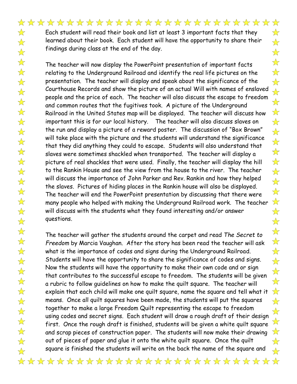$\frac{1}{\sqrt{2}}$ 

 $\frac{1}{\sqrt{2}}$ 

 $\frac{1}{\sqrt{2}}$ 

 $\frac{1}{2}$ 

 $\frac{1}{\sqrt{2}}$ 

 $\frac{1}{\sqrt{2}}$ 

 $\frac{1}{2}$ 

 $\frac{1}{\sqrt{2}}$ 

 $\frac{1}{\sqrt{2}}$ 

 $\frac{1}{\sqrt{2}}$ 

 $\frac{1}{\sqrt{2}}$ 

 $\frac{1}{\sqrt{2}}$ 

 $\frac{1}{\sqrt{2}}$ 

 $\overrightarrow{\mathbf{x}}$ 

 $\frac{1}{\sqrt{2}}$ 

 $\frac{1}{2}$ 

 $\frac{1}{\sqrt{2}}$ 

 $\frac{1}{\sqrt{2}}$ 

 $\frac{1}{\sqrt{2}}$ 

 $\frac{1}{\sqrt{2}}$ 

 $\frac{1}{\sqrt{2}}$ 

 $\frac{1}{\sqrt{2}}$ 

 $\frac{1}{\sqrt{2}}$ 

 $\frac{1}{\sqrt{2}}$ 

 $\frac{1}{\sqrt{2}}$ 

 $\frac{1}{\sqrt{2}}$ 

 $\frac{1}{2}$ 

 $\frac{1}{\sqrt{2}}$ 

 $\frac{1}{\sqrt{2}}$ 

 $\frac{1}{\sqrt{2}}$ 

 $\frac{1}{2}$ 

 $\frac{1}{\sqrt{2}}$ 

 $\frac{1}{2}$ 

The teacher will now display the PowerPoint presentation of important facts relating to the Underground Railroad and identify the real life pictures on the presentation. The teacher will display and speak about the significance of the Courthouse Records and show the picture of an actual Will with names of enslaved people and the price of each. The teacher will also discuss the escape to freedom and common routes that the fugitives took. A picture of the Underground Railroad in the United States map will be displayed. The teacher will discuss how important this is for our local history. The teacher will also discuss slaves on the run and display a picture of a reward poster. The discussion of "Box Brown" will take place with the picture and the students will understand the significance that they did anything they could to escape. Students will also understand that slaves were sometimes shackled when transported. The teacher will display a picture of real shackles that were used. Finally, the teacher will display the hill to the Rankin House and see the view from the house to the river. The teacher will discuss the importance of John Parker and Rev. Rankin and how they helped the slaves. Pictures of hiding places in the Rankin house will also be displayed. The teacher will end the PowerPoint presentation by discussing that there were many people who helped with making the Underground Railroad work. The teacher will discuss with the students what they found interesting and/or answer questions.

The teacher will gather the students around the carpet and read *The Secret to Freedom* by Marcia Vaughan*.* After the story has been read the teacher will ask what is the importance of codes and signs during the Underground Railroad. Students will have the opportunity to share the significance of codes and signs. Now the students will have the opportunity to make their own code and or sign that contributes to the successful escape to freedom. The students will be given a rubric to follow guidelines on how to make the quilt square. The teacher will explain that each child will make one quilt square, name the square and tell what it means. Once all quilt squares have been made, the students will put the squares together to make a large Freedom Quilt representing the escape to freedom using codes and secret signs. Each student will draw a rough draft of their design first. Once the rough draft is finished, students will be given a white quilt square and scrap pieces of construction paper. The students will now make their drawing out of pieces of paper and glue it onto the white quilt square. Once the quilt square is finished the students will write on the back the name of the square and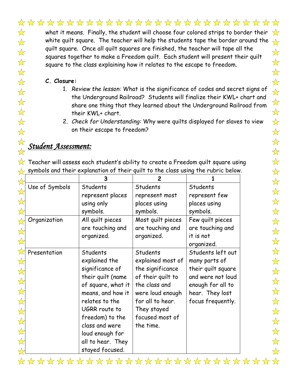## \*\*\*\*\*\*\*\*\*\*\*\*\*\*\*\*\*\*\*\*\*\*\*\*\*\*

what it means. Finally, the student will choose four colored strips to border their  $\sqrt{\sigma}$ white quilt square. The teacher will help the students tape the border around the quilt square. Once all quilt squares are finished, the teacher will tape all the squares together to make a Freedom quilt. Each student will present their quilt square to the class explaining how it relates to the escape to freedom.

#### **C. Closure:**

 $\frac{1}{\sqrt{2}}$  $\frac{1}{\sqrt{2}}$ 

 $\frac{1}{2}$ 

 $\frac{1}{\sqrt{2}}$ 

 $\frac{1}{2}$ 

 $\overrightarrow{\mathbf{x}}$ 

 $\frac{1}{2}$ 

 $\frac{1}{\sqrt{2}}$ 

 $\frac{1}{\sqrt{2}}$ 

 $\frac{1}{\sqrt{2}}$ 

 $\frac{1}{\sqrt{2}}$ 

- 1. *Review the lesson:* What is the significance of codes and secret signs of the Underground Railroad? Students will finalize their KWL+ chart and share one thing that they learned about the Underground Railroad from their KWL+ chart.
- 2. *Check for Understanding:* Why were quilts displayed for slaves to view on their escape to freedom?

#### $\frac{1}{\sqrt{2}}$ *Student Assessment:*

 $\sqrt{\chi}$  Teacher will assess each student's ability to create a Freedom quilt square using  $\leftrightarrow$  symbols and their explanation of their quilt to the class using the rubric below.

|                | 3                  | $\overline{2}$    |                    |  |  |  |  |
|----------------|--------------------|-------------------|--------------------|--|--|--|--|
| Use of Symbols | Students           | Students          | Students           |  |  |  |  |
|                | represent places   | represent most    | represent few      |  |  |  |  |
|                | using only         | places using      | places using       |  |  |  |  |
|                | symbols.           | symbols.          | symbols.           |  |  |  |  |
| Organization   | All quilt pieces   | Most quilt pieces | Few quilt pieces   |  |  |  |  |
|                | are touching and   | are touching and  | are touching and   |  |  |  |  |
|                | organized.         | organized.        | it is not          |  |  |  |  |
|                |                    |                   | organized.         |  |  |  |  |
| Presentation   | Students           | Students          | Students left out  |  |  |  |  |
|                | explained the      | explained most of | many parts of      |  |  |  |  |
|                | significance of    | the significance  | their quilt square |  |  |  |  |
|                | their quilt (name  | of their quilt to | and were not loud  |  |  |  |  |
|                | of square, what it | the class and     | enough for all to  |  |  |  |  |
|                | means, and how it  | were loud enough  | hear. They lost    |  |  |  |  |
|                | relates to the     | for all to hear.  | focus frequently.  |  |  |  |  |
|                | UGRR route to      | They stayed       |                    |  |  |  |  |
|                | freedom) to the    | focused most of   |                    |  |  |  |  |
|                | class and were     | the time.         |                    |  |  |  |  |
|                | loud enough for    |                   |                    |  |  |  |  |
|                | all to hear. They  |                   |                    |  |  |  |  |
|                | stayed focused.    |                   |                    |  |  |  |  |